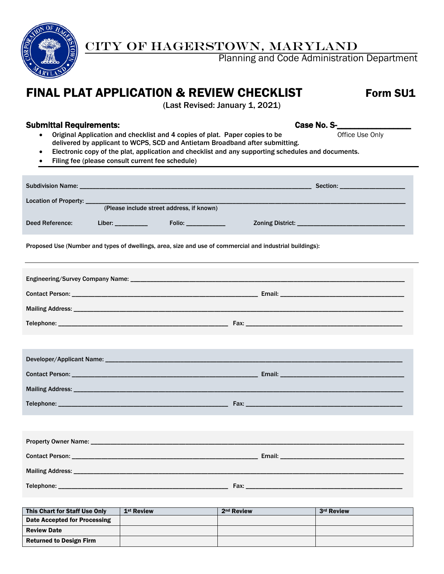

## CITY OF HAGERSTOWN, MARYLAND

Planning and Code Administration Department

# FINAL PLAT APPLICATION & REVIEW CHECKLIST Form SU1

(Last Revised: January 1, 2021)

#### Submittal Requirements: Case No. S-

- Original Application and checklist and 4 copies of plat. Paper copies to be Office Use Only delivered by applicant to WCPS, SCD and Antietam Broadband after submitting.
- Electronic copy of the plat, application and checklist and any supporting schedules and documents.
- Filing fee (please consult current fee schedule)

|                 | Location of Property: _____                                                                              |  |  |  |  |  |  |  |
|-----------------|----------------------------------------------------------------------------------------------------------|--|--|--|--|--|--|--|
|                 | (Please include street address, if known)                                                                |  |  |  |  |  |  |  |
| Deed Reference: |                                                                                                          |  |  |  |  |  |  |  |
|                 | Proposed Use (Number and types of dwellings, area, size and use of commercial and industrial buildings): |  |  |  |  |  |  |  |
|                 |                                                                                                          |  |  |  |  |  |  |  |
|                 |                                                                                                          |  |  |  |  |  |  |  |
|                 |                                                                                                          |  |  |  |  |  |  |  |
|                 |                                                                                                          |  |  |  |  |  |  |  |
|                 |                                                                                                          |  |  |  |  |  |  |  |
|                 |                                                                                                          |  |  |  |  |  |  |  |
|                 |                                                                                                          |  |  |  |  |  |  |  |
|                 |                                                                                                          |  |  |  |  |  |  |  |
|                 |                                                                                                          |  |  |  |  |  |  |  |
|                 |                                                                                                          |  |  |  |  |  |  |  |
|                 |                                                                                                          |  |  |  |  |  |  |  |
|                 |                                                                                                          |  |  |  |  |  |  |  |
|                 |                                                                                                          |  |  |  |  |  |  |  |
|                 |                                                                                                          |  |  |  |  |  |  |  |
|                 |                                                                                                          |  |  |  |  |  |  |  |

| This Chart for Staff Use Only  | 1 <sup>st</sup> Review | 2 <sup>nd</sup> Review | 3rd Review |
|--------------------------------|------------------------|------------------------|------------|
| Date Accepted for Processing   |                        |                        |            |
| <b>Review Date</b>             |                        |                        |            |
| <b>Returned to Design Firm</b> |                        |                        |            |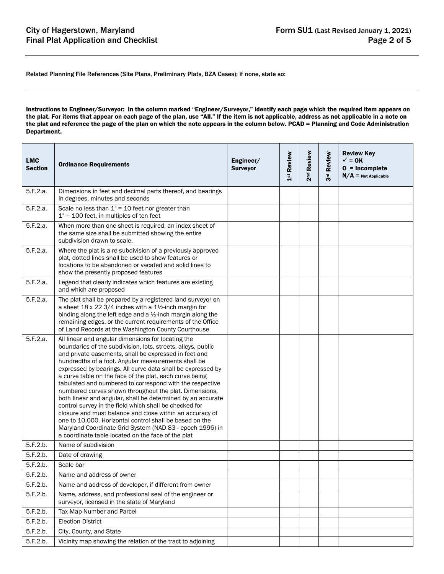Related Planning File References (Site Plans, Preliminary Plats, BZA Cases); if none, state so:

Instructions to Engineer/Surveyor: In the column marked "Engineer/Surveyor," identify each page which the required item appears on the plat. For items that appear on each page of the plan, use "All." If the item is not applicable, address as not applicable in a note on the plat and reference the page of the plan on which the note appears in the column below. PCAD = Planning and Code Administration Department.

| <b>LMC</b><br><b>Section</b> | <b>Ordinance Requirements</b>                                                                                                                                                                                                                                                                                                                                                                                                                                                                                                                                                                                                                                                                                                                                                                                                                        | Engineer/<br><b>Surveyor</b> | 1st Review | Review<br>2 <sup>nd</sup> | 3rd Review | <b>Review Key</b><br>$\checkmark$ = 0K<br>$0 = Incomplete$<br>$N/A$ = Not Applicable |
|------------------------------|------------------------------------------------------------------------------------------------------------------------------------------------------------------------------------------------------------------------------------------------------------------------------------------------------------------------------------------------------------------------------------------------------------------------------------------------------------------------------------------------------------------------------------------------------------------------------------------------------------------------------------------------------------------------------------------------------------------------------------------------------------------------------------------------------------------------------------------------------|------------------------------|------------|---------------------------|------------|--------------------------------------------------------------------------------------|
| 5.F.2.a.                     | Dimensions in feet and decimal parts thereof, and bearings<br>in degrees, minutes and seconds                                                                                                                                                                                                                                                                                                                                                                                                                                                                                                                                                                                                                                                                                                                                                        |                              |            |                           |            |                                                                                      |
| 5.F.2.a.                     | Scale no less than $1" = 10$ feet nor greater than<br>$1" = 100$ feet, in multiples of ten feet                                                                                                                                                                                                                                                                                                                                                                                                                                                                                                                                                                                                                                                                                                                                                      |                              |            |                           |            |                                                                                      |
| 5.F.2.a.                     | When more than one sheet is required, an index sheet of<br>the same size shall be submitted showing the entire<br>subdivision drawn to scale.                                                                                                                                                                                                                                                                                                                                                                                                                                                                                                                                                                                                                                                                                                        |                              |            |                           |            |                                                                                      |
| 5.F.2.a.                     | Where the plat is a re-subdivision of a previously approved<br>plat, dotted lines shall be used to show features or<br>locations to be abandoned or vacated and solid lines to<br>show the presently proposed features                                                                                                                                                                                                                                                                                                                                                                                                                                                                                                                                                                                                                               |                              |            |                           |            |                                                                                      |
| 5.F.2.a.                     | Legend that clearly indicates which features are existing<br>and which are proposed                                                                                                                                                                                                                                                                                                                                                                                                                                                                                                                                                                                                                                                                                                                                                                  |                              |            |                           |            |                                                                                      |
| 5.F.2.a.                     | The plat shall be prepared by a registered land surveyor on<br>a sheet $18 \times 22$ 3/4 inches with a $1\frac{1}{2}$ -inch margin for<br>binding along the left edge and a $\frac{1}{2}$ -inch margin along the<br>remaining edges, or the current requirements of the Office<br>of Land Records at the Washington County Courthouse                                                                                                                                                                                                                                                                                                                                                                                                                                                                                                               |                              |            |                           |            |                                                                                      |
| 5.F.2.a.                     | All linear and angular dimensions for locating the<br>boundaries of the subdivision, lots, streets, alleys, public<br>and private easements, shall be expressed in feet and<br>hundredths of a foot. Angular measurements shall be<br>expressed by bearings. All curve data shall be expressed by<br>a curve table on the face of the plat, each curve being<br>tabulated and numbered to correspond with the respective<br>numbered curves shown throughout the plat. Dimensions,<br>both linear and angular, shall be determined by an accurate<br>control survey in the field which shall be checked for<br>closure and must balance and close within an accuracy of<br>one to 10,000. Horizontal control shall be based on the<br>Maryland Coordinate Grid System (NAD 83 - epoch 1996) in<br>a coordinate table located on the face of the plat |                              |            |                           |            |                                                                                      |
| 5.F.2.b.                     | Name of subdivision                                                                                                                                                                                                                                                                                                                                                                                                                                                                                                                                                                                                                                                                                                                                                                                                                                  |                              |            |                           |            |                                                                                      |
| 5.F.2.b.                     | Date of drawing                                                                                                                                                                                                                                                                                                                                                                                                                                                                                                                                                                                                                                                                                                                                                                                                                                      |                              |            |                           |            |                                                                                      |
| 5.F.2.b.                     | Scale bar                                                                                                                                                                                                                                                                                                                                                                                                                                                                                                                                                                                                                                                                                                                                                                                                                                            |                              |            |                           |            |                                                                                      |
| 5.F.2.b.                     | Name and address of owner                                                                                                                                                                                                                                                                                                                                                                                                                                                                                                                                                                                                                                                                                                                                                                                                                            |                              |            |                           |            |                                                                                      |
| 5.F.2.b.                     | Name and address of developer, if different from owner                                                                                                                                                                                                                                                                                                                                                                                                                                                                                                                                                                                                                                                                                                                                                                                               |                              |            |                           |            |                                                                                      |
| 5.F.2.b.                     | Name, address, and professional seal of the engineer or<br>surveyor, licensed in the state of Maryland                                                                                                                                                                                                                                                                                                                                                                                                                                                                                                                                                                                                                                                                                                                                               |                              |            |                           |            |                                                                                      |
| 5.F.2.b.                     | Tax Map Number and Parcel                                                                                                                                                                                                                                                                                                                                                                                                                                                                                                                                                                                                                                                                                                                                                                                                                            |                              |            |                           |            |                                                                                      |
| 5.F.2.b.                     | <b>Election District</b>                                                                                                                                                                                                                                                                                                                                                                                                                                                                                                                                                                                                                                                                                                                                                                                                                             |                              |            |                           |            |                                                                                      |
| 5.F.2.b.                     | City, County, and State                                                                                                                                                                                                                                                                                                                                                                                                                                                                                                                                                                                                                                                                                                                                                                                                                              |                              |            |                           |            |                                                                                      |
| 5.F.2.b.                     | Vicinity map showing the relation of the tract to adjoining                                                                                                                                                                                                                                                                                                                                                                                                                                                                                                                                                                                                                                                                                                                                                                                          |                              |            |                           |            |                                                                                      |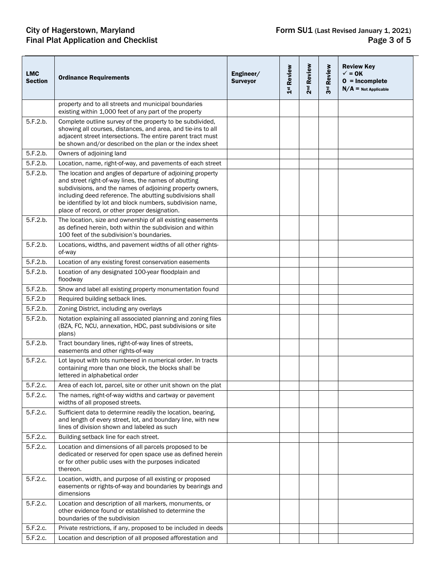# **City of Hagerstown, Maryland<br>Final Plat Application and Checklist**

| <b>LMC</b><br><b>Section</b> | <b>Ordinance Requirements</b>                                                                                                                                                                                                                                                                                                                              | Engineer/<br><b>Surveyor</b> | 1st Review | 2 <sup>nd</sup> Review | Review<br>3 <sup>rd</sup> | <b>Review Key</b><br>$\checkmark$ = 0K<br>$0 = Incomplete$<br>$N/A$ = Not Applicable |
|------------------------------|------------------------------------------------------------------------------------------------------------------------------------------------------------------------------------------------------------------------------------------------------------------------------------------------------------------------------------------------------------|------------------------------|------------|------------------------|---------------------------|--------------------------------------------------------------------------------------|
|                              | property and to all streets and municipal boundaries<br>existing within 1,000 feet of any part of the property                                                                                                                                                                                                                                             |                              |            |                        |                           |                                                                                      |
| 5.F.2.b.                     | Complete outline survey of the property to be subdivided,<br>showing all courses, distances, and area, and tie-ins to all<br>adjacent street intersections. The entire parent tract must<br>be shown and/or described on the plan or the index sheet                                                                                                       |                              |            |                        |                           |                                                                                      |
| 5.F.2.b.                     | Owners of adjoining land                                                                                                                                                                                                                                                                                                                                   |                              |            |                        |                           |                                                                                      |
| 5.F.2.b.                     | Location, name, right-of-way, and pavements of each street                                                                                                                                                                                                                                                                                                 |                              |            |                        |                           |                                                                                      |
| 5.F.2.b.                     | The location and angles of departure of adjoining property<br>and street right-of-way lines, the names of abutting<br>subdivisions, and the names of adjoining property owners,<br>including deed reference. The abutting subdivisions shall<br>be identified by lot and block numbers, subdivision name,<br>place of record, or other proper designation. |                              |            |                        |                           |                                                                                      |
| 5.F.2.b.                     | The location, size and ownership of all existing easements<br>as defined herein, both within the subdivision and within<br>100 feet of the subdivision's boundaries.                                                                                                                                                                                       |                              |            |                        |                           |                                                                                      |
| 5.F.2.b.                     | Locations, widths, and pavement widths of all other rights-<br>of-way                                                                                                                                                                                                                                                                                      |                              |            |                        |                           |                                                                                      |
| 5.F.2.b.                     | Location of any existing forest conservation easements                                                                                                                                                                                                                                                                                                     |                              |            |                        |                           |                                                                                      |
| 5.F.2.b.                     | Location of any designated 100-year floodplain and<br>floodway                                                                                                                                                                                                                                                                                             |                              |            |                        |                           |                                                                                      |
| 5.F.2.b.                     | Show and label all existing property monumentation found                                                                                                                                                                                                                                                                                                   |                              |            |                        |                           |                                                                                      |
| 5.F.2.b                      | Required building setback lines.                                                                                                                                                                                                                                                                                                                           |                              |            |                        |                           |                                                                                      |
| 5.F.2.b.                     | Zoning District, including any overlays                                                                                                                                                                                                                                                                                                                    |                              |            |                        |                           |                                                                                      |
| 5.F.2.b.                     | Notation explaining all associated planning and zoning files<br>(BZA, FC, NCU, annexation, HDC, past subdivisions or site<br>plans)                                                                                                                                                                                                                        |                              |            |                        |                           |                                                                                      |
| 5.F.2.b.                     | Tract boundary lines, right-of-way lines of streets,<br>easements and other rights-of-way                                                                                                                                                                                                                                                                  |                              |            |                        |                           |                                                                                      |
| 5.F.2.c.                     | Lot layout with lots numbered in numerical order. In tracts<br>containing more than one block, the blocks shall be<br>lettered in alphabetical order                                                                                                                                                                                                       |                              |            |                        |                           |                                                                                      |
| 5.F.2.c.                     | Area of each lot, parcel, site or other unit shown on the plat                                                                                                                                                                                                                                                                                             |                              |            |                        |                           |                                                                                      |
| 5.F.2.c.                     | The names, right-of-way widths and cartway or pavement<br>widths of all proposed streets.                                                                                                                                                                                                                                                                  |                              |            |                        |                           |                                                                                      |
| 5.F.2.c.                     | Sufficient data to determine readily the location, bearing,<br>and length of every street, lot, and boundary line, with new<br>lines of division shown and labeled as such                                                                                                                                                                                 |                              |            |                        |                           |                                                                                      |
| 5.F.2.c.                     | Building setback line for each street.                                                                                                                                                                                                                                                                                                                     |                              |            |                        |                           |                                                                                      |
| 5.F.2.c.                     | Location and dimensions of all parcels proposed to be<br>dedicated or reserved for open space use as defined herein<br>or for other public uses with the purposes indicated<br>thereon.                                                                                                                                                                    |                              |            |                        |                           |                                                                                      |
| 5.F.2.c.                     | Location, width, and purpose of all existing or proposed<br>easements or rights-of-way and boundaries by bearings and<br>dimensions                                                                                                                                                                                                                        |                              |            |                        |                           |                                                                                      |
| 5.F.2.c.                     | Location and description of all markers, monuments, or<br>other evidence found or established to determine the<br>boundaries of the subdivision                                                                                                                                                                                                            |                              |            |                        |                           |                                                                                      |
| 5.F.2.c.                     | Private restrictions, if any, proposed to be included in deeds                                                                                                                                                                                                                                                                                             |                              |            |                        |                           |                                                                                      |
| 5.F.2.c.                     | Location and description of all proposed afforestation and                                                                                                                                                                                                                                                                                                 |                              |            |                        |                           |                                                                                      |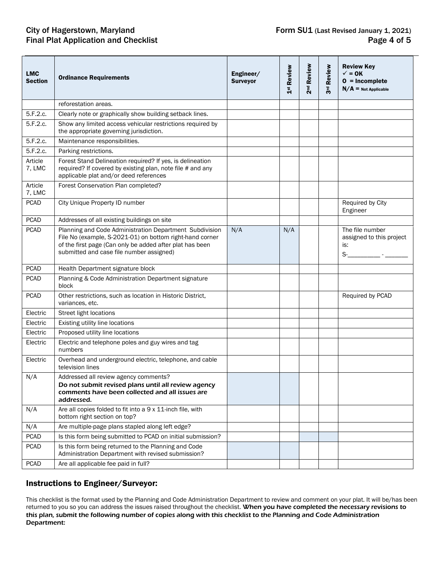## City of Hagerstown, Maryland Form SU1 (Last Revised January 1, 2021)<br>Final Plat Application and Checklist Final Plat Application and Checklist Final Plat Application and Checklist

| <b>LMC</b><br>Section | <b>Ordinance Requirements</b>                                                                                                                                                                                               | Engineer/<br><b>Surveyor</b> | 1st Review | 2 <sup>nd</sup> Review | Review<br>ಕ್ಷ<br>ನ | <b>Review Key</b><br>$\checkmark$ = 0K<br>$0 = Incomplete$<br>$N/A$ = Not Applicable   |
|-----------------------|-----------------------------------------------------------------------------------------------------------------------------------------------------------------------------------------------------------------------------|------------------------------|------------|------------------------|--------------------|----------------------------------------------------------------------------------------|
|                       | reforestation areas.                                                                                                                                                                                                        |                              |            |                        |                    |                                                                                        |
| 5.F.2.c.              | Clearly note or graphically show building setback lines.                                                                                                                                                                    |                              |            |                        |                    |                                                                                        |
| 5.F.2.c.              | Show any limited access vehicular restrictions required by<br>the appropriate governing jurisdiction.                                                                                                                       |                              |            |                        |                    |                                                                                        |
| 5.F.2.c.              | Maintenance responsibilities.                                                                                                                                                                                               |                              |            |                        |                    |                                                                                        |
| 5.F.2.c.              | Parking restrictions.                                                                                                                                                                                                       |                              |            |                        |                    |                                                                                        |
| Article<br>7, LMC     | Forest Stand Delineation required? If yes, is delineation<br>required? If covered by existing plan, note file # and any<br>applicable plat and/or deed references                                                           |                              |            |                        |                    |                                                                                        |
| Article<br>7, LMC     | Forest Conservation Plan completed?                                                                                                                                                                                         |                              |            |                        |                    |                                                                                        |
| <b>PCAD</b>           | City Unique Property ID number                                                                                                                                                                                              |                              |            |                        |                    | Required by City<br>Engineer                                                           |
| <b>PCAD</b>           | Addresses of all existing buildings on site                                                                                                                                                                                 |                              |            |                        |                    |                                                                                        |
| <b>PCAD</b>           | Planning and Code Administration Department Subdivision<br>File No (example, S-2021-01) on bottom right-hand corner<br>of the first page (Can only be added after plat has been<br>submitted and case file number assigned) | N/A                          | N/A        |                        |                    | The file number<br>assigned to this project<br>is:<br>$S$ - $\qquad \qquad$ - $\qquad$ |
| <b>PCAD</b>           | Health Department signature block                                                                                                                                                                                           |                              |            |                        |                    |                                                                                        |
| <b>PCAD</b>           | Planning & Code Administration Department signature<br>block                                                                                                                                                                |                              |            |                        |                    |                                                                                        |
| <b>PCAD</b>           | Other restrictions, such as location in Historic District,<br>variances, etc.                                                                                                                                               |                              |            |                        |                    | Required by PCAD                                                                       |
| Electric              | Street light locations                                                                                                                                                                                                      |                              |            |                        |                    |                                                                                        |
| Electric              | Existing utility line locations                                                                                                                                                                                             |                              |            |                        |                    |                                                                                        |
| Electric              | Proposed utility line locations                                                                                                                                                                                             |                              |            |                        |                    |                                                                                        |
| Electric              | Electric and telephone poles and guy wires and tag<br>numbers                                                                                                                                                               |                              |            |                        |                    |                                                                                        |
| Electric              | Overhead and underground electric, telephone, and cable<br>television lines                                                                                                                                                 |                              |            |                        |                    |                                                                                        |
| N/A                   | Addressed all review agency comments?<br>Do not submit revised plans until all review agency<br>comments have been collected and all issues are<br>addressed.                                                               |                              |            |                        |                    |                                                                                        |
| N/A                   | Are all copies folded to fit into a 9 x 11-inch file, with<br>bottom right section on top?                                                                                                                                  |                              |            |                        |                    |                                                                                        |
| N/A                   | Are multiple-page plans stapled along left edge?                                                                                                                                                                            |                              |            |                        |                    |                                                                                        |
| <b>PCAD</b>           | Is this form being submitted to PCAD on initial submission?                                                                                                                                                                 |                              |            |                        |                    |                                                                                        |
| <b>PCAD</b>           | Is this form being returned to the Planning and Code<br>Administration Department with revised submission?                                                                                                                  |                              |            |                        |                    |                                                                                        |
| <b>PCAD</b>           | Are all applicable fee paid in full?                                                                                                                                                                                        |                              |            |                        |                    |                                                                                        |

#### Instructions to Engineer/Surveyor:

This checklist is the format used by the Planning and Code Administration Department to review and comment on your plat. It will be/has been returned to you so you can address the issues raised throughout the checklist. When you have completed the necessary revisions to this plan, submit the following number of copies along with this checklist to the Planning and Code Administration Department: